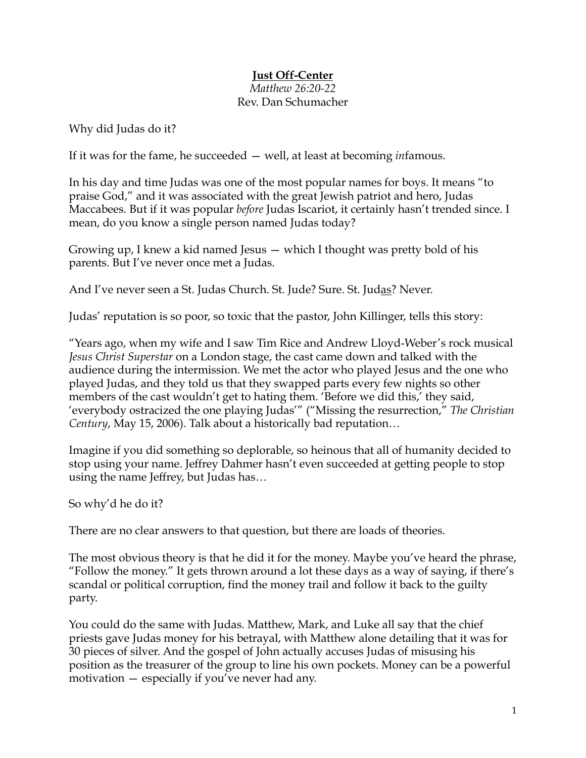## **Just Off-Center**

## *Matthew 26:20-22* Rev. Dan Schumacher

Why did Judas do it?

If it was for the fame, he succeeded — well, at least at becoming *in*famous.

In his day and time Judas was one of the most popular names for boys. It means "to praise God," and it was associated with the great Jewish patriot and hero, Judas Maccabees. But if it was popular *before* Judas Iscariot, it certainly hasn't trended since. I mean, do you know a single person named Judas today?

Growing up, I knew a kid named Jesus — which I thought was pretty bold of his parents. But I've never once met a Judas.

And I've never seen a St. Judas Church. St. Jude? Sure. St. Judas? Never.

Judas' reputation is so poor, so toxic that the pastor, John Killinger, tells this story:

"Years ago, when my wife and I saw Tim Rice and Andrew Lloyd-Weber's rock musical *Jesus Christ Superstar* on a London stage, the cast came down and talked with the audience during the intermission. We met the actor who played Jesus and the one who played Judas, and they told us that they swapped parts every few nights so other members of the cast wouldn't get to hating them. 'Before we did this,' they said, 'everybody ostracized the one playing Judas'" ("Missing the resurrection," *The Christian Century*, May 15, 2006). Talk about a historically bad reputation…

Imagine if you did something so deplorable, so heinous that all of humanity decided to stop using your name. Jeffrey Dahmer hasn't even succeeded at getting people to stop using the name Jeffrey, but Judas has…

So why'd he do it?

There are no clear answers to that question, but there are loads of theories.

The most obvious theory is that he did it for the money. Maybe you've heard the phrase, "Follow the money." It gets thrown around a lot these days as a way of saying, if there's scandal or political corruption, find the money trail and follow it back to the guilty party.

You could do the same with Judas. Matthew, Mark, and Luke all say that the chief priests gave Judas money for his betrayal, with Matthew alone detailing that it was for 30 pieces of silver. And the gospel of John actually accuses Judas of misusing his position as the treasurer of the group to line his own pockets. Money can be a powerful motivation — especially if you've never had any.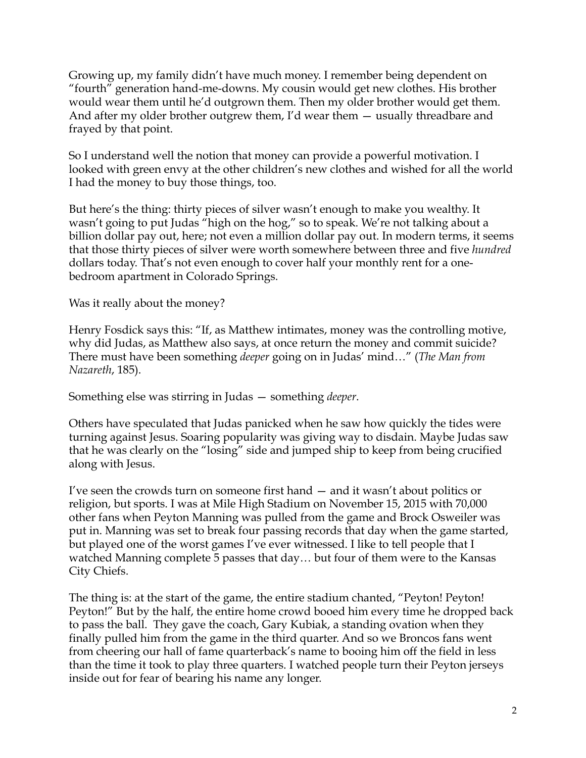Growing up, my family didn't have much money. I remember being dependent on "fourth" generation hand-me-downs. My cousin would get new clothes. His brother would wear them until he'd outgrown them. Then my older brother would get them. And after my older brother outgrew them, I'd wear them — usually threadbare and frayed by that point.

So I understand well the notion that money can provide a powerful motivation. I looked with green envy at the other children's new clothes and wished for all the world I had the money to buy those things, too.

But here's the thing: thirty pieces of silver wasn't enough to make you wealthy. It wasn't going to put Judas "high on the hog," so to speak. We're not talking about a billion dollar pay out, here; not even a million dollar pay out. In modern terms, it seems that those thirty pieces of silver were worth somewhere between three and five *hundred* dollars today. That's not even enough to cover half your monthly rent for a onebedroom apartment in Colorado Springs.

Was it really about the money?

Henry Fosdick says this: "If, as Matthew intimates, money was the controlling motive, why did Judas, as Matthew also says, at once return the money and commit suicide? There must have been something *deeper* going on in Judas' mind…" (*The Man from Nazareth*, 185).

Something else was stirring in Judas — something *deeper*.

Others have speculated that Judas panicked when he saw how quickly the tides were turning against Jesus. Soaring popularity was giving way to disdain. Maybe Judas saw that he was clearly on the "losing" side and jumped ship to keep from being crucified along with Jesus.

I've seen the crowds turn on someone first hand — and it wasn't about politics or religion, but sports. I was at Mile High Stadium on November 15, 2015 with 70,000 other fans when Peyton Manning was pulled from the game and Brock Osweiler was put in. Manning was set to break four passing records that day when the game started, but played one of the worst games I've ever witnessed. I like to tell people that I watched Manning complete 5 passes that day… but four of them were to the Kansas City Chiefs.

The thing is: at the start of the game, the entire stadium chanted, "Peyton! Peyton! Peyton!" But by the half, the entire home crowd booed him every time he dropped back to pass the ball. They gave the coach, Gary Kubiak, a standing ovation when they finally pulled him from the game in the third quarter. And so we Broncos fans went from cheering our hall of fame quarterback's name to booing him off the field in less than the time it took to play three quarters. I watched people turn their Peyton jerseys inside out for fear of bearing his name any longer.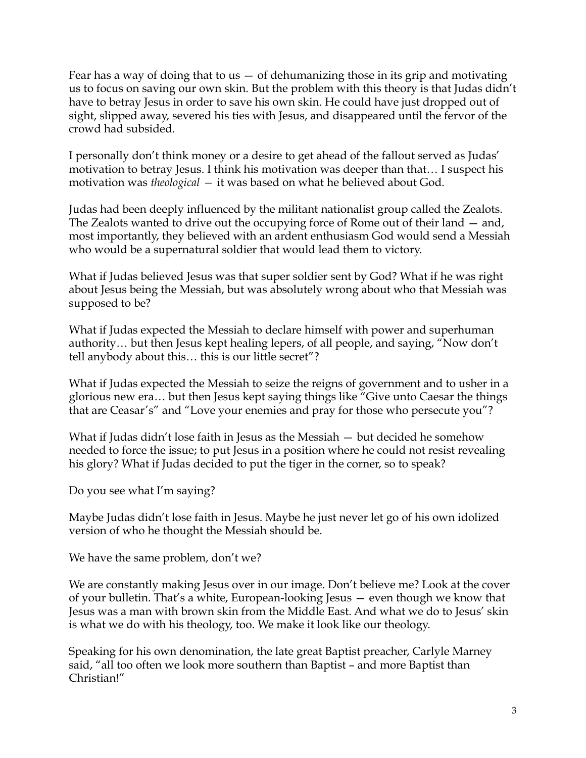Fear has a way of doing that to us  $-$  of dehumanizing those in its grip and motivating us to focus on saving our own skin. But the problem with this theory is that Judas didn't have to betray Jesus in order to save his own skin. He could have just dropped out of sight, slipped away, severed his ties with Jesus, and disappeared until the fervor of the crowd had subsided.

I personally don't think money or a desire to get ahead of the fallout served as Judas' motivation to betray Jesus. I think his motivation was deeper than that… I suspect his motivation was *theological —* it was based on what he believed about God.

Judas had been deeply influenced by the militant nationalist group called the Zealots. The Zealots wanted to drive out the occupying force of Rome out of their land — and, most importantly, they believed with an ardent enthusiasm God would send a Messiah who would be a supernatural soldier that would lead them to victory.

What if Judas believed Jesus was that super soldier sent by God? What if he was right about Jesus being the Messiah, but was absolutely wrong about who that Messiah was supposed to be?

What if Judas expected the Messiah to declare himself with power and superhuman authority… but then Jesus kept healing lepers, of all people, and saying, "Now don't tell anybody about this… this is our little secret"?

What if Judas expected the Messiah to seize the reigns of government and to usher in a glorious new era… but then Jesus kept saying things like "Give unto Caesar the things that are Ceasar's" and "Love your enemies and pray for those who persecute you"?

What if Judas didn't lose faith in Jesus as the Messiah — but decided he somehow needed to force the issue; to put Jesus in a position where he could not resist revealing his glory? What if Judas decided to put the tiger in the corner, so to speak?

Do you see what I'm saying?

Maybe Judas didn't lose faith in Jesus. Maybe he just never let go of his own idolized version of who he thought the Messiah should be.

We have the same problem, don't we?

We are constantly making Jesus over in our image. Don't believe me? Look at the cover of your bulletin. That's a white, European-looking Jesus — even though we know that Jesus was a man with brown skin from the Middle East. And what we do to Jesus' skin is what we do with his theology, too. We make it look like our theology.

Speaking for his own denomination, the late great Baptist preacher, Carlyle Marney said, "all too often we look more southern than Baptist – and more Baptist than Christian!"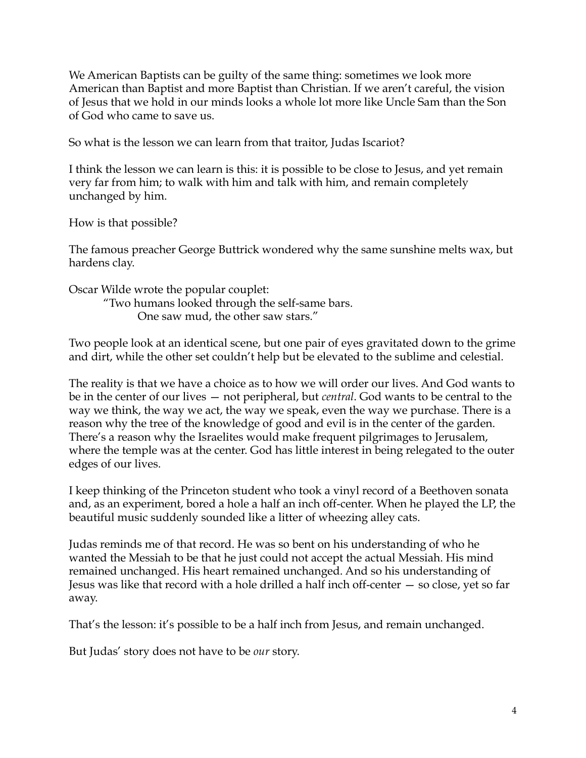We American Baptists can be guilty of the same thing: sometimes we look more American than Baptist and more Baptist than Christian. If we aren't careful, the vision of Jesus that we hold in our minds looks a whole lot more like Uncle Sam than the Son of God who came to save us.

So what is the lesson we can learn from that traitor, Judas Iscariot?

I think the lesson we can learn is this: it is possible to be close to Jesus, and yet remain very far from him; to walk with him and talk with him, and remain completely unchanged by him.

How is that possible?

The famous preacher George Buttrick wondered why the same sunshine melts wax, but hardens clay.

Oscar Wilde wrote the popular couplet: "Two humans looked through the self-same bars.

One saw mud, the other saw stars."

Two people look at an identical scene, but one pair of eyes gravitated down to the grime and dirt, while the other set couldn't help but be elevated to the sublime and celestial.

The reality is that we have a choice as to how we will order our lives. And God wants to be in the center of our lives — not peripheral, but *central*. God wants to be central to the way we think, the way we act, the way we speak, even the way we purchase. There is a reason why the tree of the knowledge of good and evil is in the center of the garden. There's a reason why the Israelites would make frequent pilgrimages to Jerusalem, where the temple was at the center. God has little interest in being relegated to the outer edges of our lives.

I keep thinking of the Princeton student who took a vinyl record of a Beethoven sonata and, as an experiment, bored a hole a half an inch off-center. When he played the LP, the beautiful music suddenly sounded like a litter of wheezing alley cats.

Judas reminds me of that record. He was so bent on his understanding of who he wanted the Messiah to be that he just could not accept the actual Messiah. His mind remained unchanged. His heart remained unchanged. And so his understanding of Jesus was like that record with a hole drilled a half inch off-center — so close, yet so far away.

That's the lesson: it's possible to be a half inch from Jesus, and remain unchanged.

But Judas' story does not have to be *our* story.